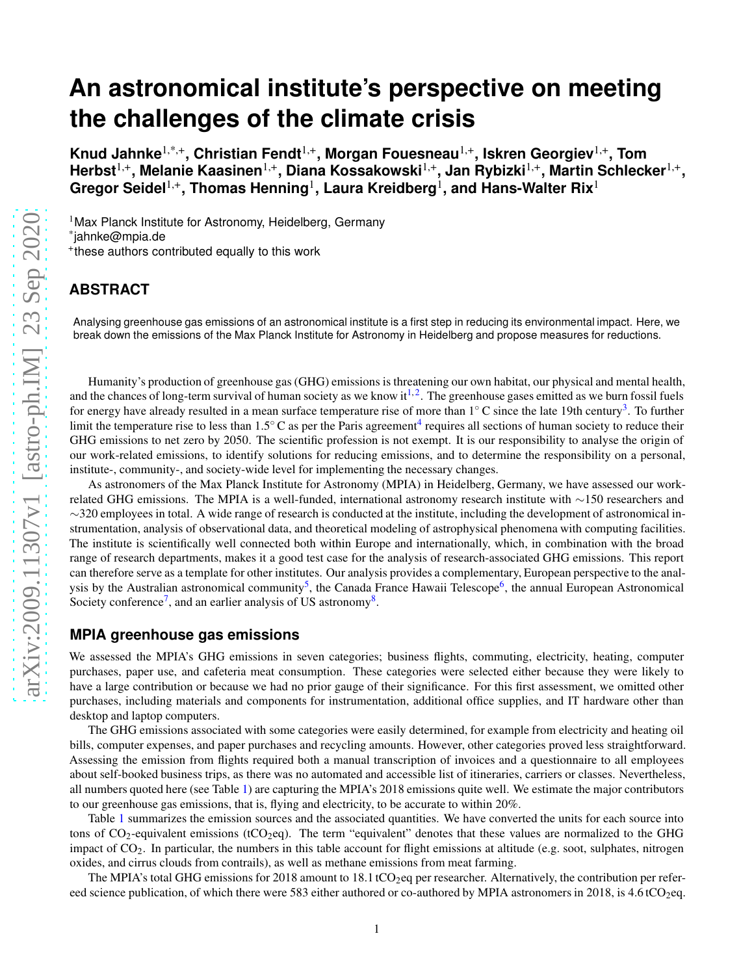# **An astronomical institute's perspective on meeting the challenges of the climate crisis**

**Knud Jahnke**1,\*,+**, Christian Fendt**1,+**, Morgan Fouesneau**1,+**, Iskren Georgiev**1,+**, Tom Herbst**1,+**, Melanie Kaasinen**1,+**, Diana Kossakowski**1,+**, Jan Rybizki**1,+**, Martin Schlecker**1,+ **,**  $\mathbf{G}$ regor Seidel $^{1,+}$ , Thomas Henning $^{1}$ , Laura Kreidberg $^{1}$ , and Hans-Walter Rix $^{1}$ 

<sup>1</sup>Max Planck Institute for Astronomy, Heidelberg, Germany \* jahnke@mpia.de + these authors contributed equally to this work

## **ABSTRACT**

Analysing greenhouse gas emissions of an astronomical institute is a first step in reducing its environmental impact. Here, we break down the emissions of the Max Planck Institute for Astronomy in Heidelberg and propose measures for reductions.

Humanity's production of greenhouse gas (GHG) emissions is threatening our own habitat, our physical and mental health, and the chances of long-term survival of human society as we know it<sup>[1,](#page-4-0)[2](#page-4-1)</sup>. The greenhouse gases emitted as we burn fossil fuels for energy have already resulted in a mean surface temperature rise of more than 1° C since the late 19th century<sup>[3](#page-4-2)</sup>. To further limit the temperature rise to less than  $1.5^\circ$ C as per the Paris agreement<sup>[4](#page-4-3)</sup> requires all sections of human society to reduce their GHG emissions to net zero by 2050. The scientific profession is not exempt. It is our responsibility to analyse the origin of our work-related emissions, to identify solutions for reducing emissions, and to determine the responsibility on a personal, institute-, community-, and society-wide level for implementing the necessary changes.

As astronomers of the Max Planck Institute for Astronomy (MPIA) in Heidelberg, Germany, we have assessed our workrelated GHG emissions. The MPIA is a well-funded, international astronomy research institute with ∼150 researchers and  $\sim$ 320 employees in total. A wide range of research is conducted at the institute, including the development of astronomical instrumentation, analysis of observational data, and theoretical modeling of astrophysical phenomena with computing facilities. The institute is scientifically well connected both within Europe and internationally, which, in combination with the broad range of research departments, makes it a good test case for the analysis of research-associated GHG emissions. This report can therefore serve as a template for other institutes. Our analysis provides a complementary, European perspective to the anal-ysis by the Australian astronomical community<sup>[5](#page-4-4)</sup>, the Canada France Hawaii Telescope<sup>[6](#page-4-5)</sup>, the annual European Astronomical Society conference<sup>[7](#page-4-6)</sup>, and an earlier analysis of US astronomy<sup>[8](#page-4-7)</sup>.

## **MPIA greenhouse gas emissions**

We assessed the MPIA's GHG emissions in seven categories; business flights, commuting, electricity, heating, computer purchases, paper use, and cafeteria meat consumption. These categories were selected either because they were likely to have a large contribution or because we had no prior gauge of their significance. For this first assessment, we omitted other purchases, including materials and components for instrumentation, additional office supplies, and IT hardware other than desktop and laptop computers.

The GHG emissions associated with some categories were easily determined, for example from electricity and heating oil bills, computer expenses, and paper purchases and recycling amounts. However, other categories proved less straightforward. Assessing the emission from flights required both a manual transcription of invoices and a questionnaire to all employees about self-booked business trips, as there was no automated and accessible list of itineraries, carriers or classes. Nevertheless, all numbers quoted here (see Table [1\)](#page-1-0) are capturing the MPIA's 2018 emissions quite well. We estimate the major contributors to our greenhouse gas emissions, that is, flying and electricity, to be accurate to within 20%.

Table [1](#page-1-0) summarizes the emission sources and the associated quantities. We have converted the units for each source into tons of  $CO_2$ -equivalent emissions (tCO<sub>2</sub>eq). The term "equivalent" denotes that these values are normalized to the GHG impact of  $CO<sub>2</sub>$ . In particular, the numbers in this table account for flight emissions at altitude (e.g. soot, sulphates, nitrogen oxides, and cirrus clouds from contrails), as well as methane emissions from meat farming.

The MPIA's total GHG emissions for 2018 amount to 18.1 tCO<sub>2</sub>eq per researcher. Alternatively, the contribution per refereed science publication, of which there were 583 either authored or co-authored by MPIA astronomers in 2018, is 4.6 tCO<sub>2</sub>eq.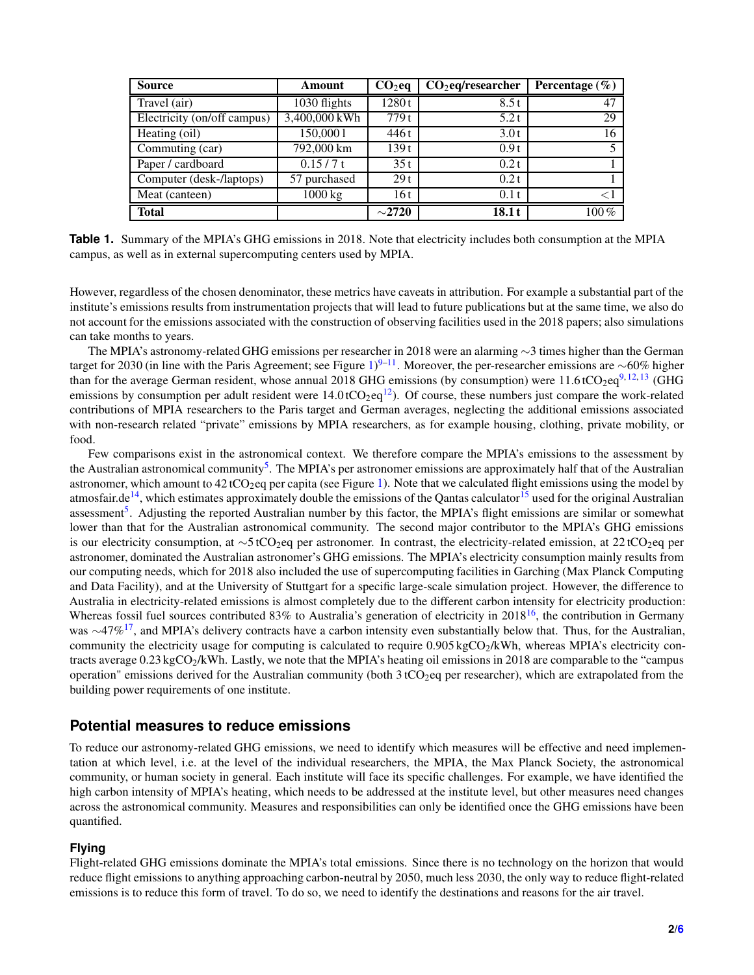<span id="page-1-0"></span>

| <b>Source</b>               | Amount               | $CO2$ eq    | $CO2$ eq/researcher | Percentage $(\% )$ |
|-----------------------------|----------------------|-------------|---------------------|--------------------|
| Travel (air)                | 1030 flights         | 1280t       | 8.5t                | 47                 |
| Electricity (on/off campus) | 3,400,000 kWh        | 779 t       | 5.2t                | 29                 |
| Heating (oil)               | 150,0001             | 446 t       | 3.0t                | 16                 |
| Commuting (car)             | 792,000 km           | 139t        | 0.9t                |                    |
| Paper / cardboard           | 0.15/7t              | 35t         | 0.2t                |                    |
| Computer (desk-/laptops)    | 57 purchased         | 29t         | 0.2t                |                    |
| Meat (canteen)              | $\overline{1000}$ kg | 16 t        | 0.1t                |                    |
| <b>Total</b>                |                      | $\sim$ 2720 | 18.1t               | $100\%$            |

**Table 1.** Summary of the MPIA's GHG emissions in 2018. Note that electricity includes both consumption at the MPIA campus, as well as in external supercomputing centers used by MPIA.

However, regardless of the chosen denominator, these metrics have caveats in attribution. For example a substantial part of the institute's emissions results from instrumentation projects that will lead to future publications but at the same time, we also do not account for the emissions associated with the construction of observing facilities used in the 2018 papers; also simulations can take months to years.

The MPIA's astronomy-related GHG emissions per researcher in 2018 were an alarming ∼3 times higher than the German target for 2030 (in line with the Paris Agreement; see Figure [1\)](#page-2-0)<sup>[9–](#page-5-0)[11](#page-5-1)</sup>. Moreover, the per-researcher emissions are ∼60% higher than for the average German resident, whose annual 2018 GHG emissions (by consumption) were  $11.6 \text{ tCO}_2$ eq<sup>[9,](#page-5-0)[12,](#page-5-2)[13](#page-5-3)</sup> (GHG emissions by consumption per adult resident were  $14.0 \text{ tCO}_2 \text{eq}^{12}$  $14.0 \text{ tCO}_2 \text{eq}^{12}$  $14.0 \text{ tCO}_2 \text{eq}^{12}$ . Of course, these numbers just compare the work-related contributions of MPIA researchers to the Paris target and German averages, neglecting the additional emissions associated with non-research related "private" emissions by MPIA researchers, as for example housing, clothing, private mobility, or food.

Few comparisons exist in the astronomical context. We therefore compare the MPIA's emissions to the assessment by the Australian astronomical community<sup>[5](#page-4-4)</sup>. The MPIA's per astronomer emissions are approximately half that of the Australian astronomer, which amount to  $42 \text{ tCO}_2$  per capita (see Figure [1\)](#page-2-0). Note that we calculated flight emissions using the model by atmosfair.de<sup>[14](#page-5-4)</sup>, which estimates approximately double the emissions of the Qantas calculator<sup>[15](#page-5-5)</sup> used for the original Australian assessment<sup>[5](#page-4-4)</sup>. Adjusting the reported Australian number by this factor, the MPIA's flight emissions are similar or somewhat lower than that for the Australian astronomical community. The second major contributor to the MPIA's GHG emissions is our electricity consumption, at  $\sim$ 5 tCO<sub>2</sub>eq per astronomer. In contrast, the electricity-related emission, at 22 tCO<sub>2</sub>eq per astronomer, dominated the Australian astronomer's GHG emissions. The MPIA's electricity consumption mainly results from our computing needs, which for 2018 also included the use of supercomputing facilities in Garching (Max Planck Computing and Data Facility), and at the University of Stuttgart for a specific large-scale simulation project. However, the difference to Australia in electricity-related emissions is almost completely due to the different carbon intensity for electricity production: Whereas fossil fuel sources contributed 83% to Australia's generation of electricity in  $2018^{16}$  $2018^{16}$  $2018^{16}$ , the contribution in Germany was  $\sim$ 47%<sup>[17](#page-5-7)</sup>, and MPIA's delivery contracts have a carbon intensity even substantially below that. Thus, for the Australian, community the electricity usage for computing is calculated to require  $0.905 \text{ kgCO}_2/\text{kWh}$ , whereas MPIA's electricity contracts average  $0.23 \text{ kgCO}_2/\text{kWh}$ . Lastly, we note that the MPIA's heating oil emissions in 2018 are comparable to the "campus operation" emissions derived for the Australian community (both  $3 tCO<sub>2</sub>$ eq per researcher), which are extrapolated from the building power requirements of one institute.

#### **Potential measures to reduce emissions**

To reduce our astronomy-related GHG emissions, we need to identify which measures will be effective and need implementation at which level, i.e. at the level of the individual researchers, the MPIA, the Max Planck Society, the astronomical community, or human society in general. Each institute will face its specific challenges. For example, we have identified the high carbon intensity of MPIA's heating, which needs to be addressed at the institute level, but other measures need changes across the astronomical community. Measures and responsibilities can only be identified once the GHG emissions have been quantified.

#### **Flying**

Flight-related GHG emissions dominate the MPIA's total emissions. Since there is no technology on the horizon that would reduce flight emissions to anything approaching carbon-neutral by 2050, much less 2030, the only way to reduce flight-related emissions is to reduce this form of travel. To do so, we need to identify the destinations and reasons for the air travel.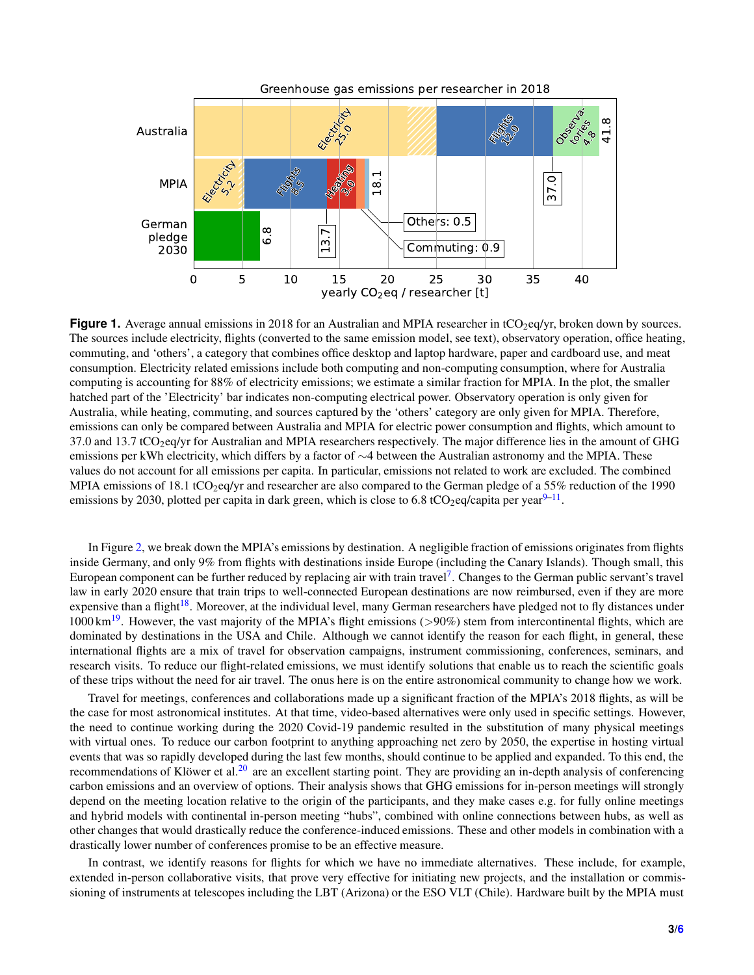<span id="page-2-0"></span>

**Figure 1.** Average annual emissions in 2018 for an Australian and MPIA researcher in tCO<sub>2</sub>eq/yr, broken down by sources. The sources include electricity, flights (converted to the same emission model, see text), observatory operation, office heating, commuting, and 'others', a category that combines office desktop and laptop hardware, paper and cardboard use, and meat consumption. Electricity related emissions include both computing and non-computing consumption, where for Australia computing is accounting for 88% of electricity emissions; we estimate a similar fraction for MPIA. In the plot, the smaller hatched part of the 'Electricity' bar indicates non-computing electrical power. Observatory operation is only given for Australia, while heating, commuting, and sources captured by the 'others' category are only given for MPIA. Therefore, emissions can only be compared between Australia and MPIA for electric power consumption and flights, which amount to 37.0 and 13.7 tCO2eq/yr for Australian and MPIA researchers respectively. The major difference lies in the amount of GHG emissions per kWh electricity, which differs by a factor of ∼4 between the Australian astronomy and the MPIA. These values do not account for all emissions per capita. In particular, emissions not related to work are excluded. The combined MPIA emissions of 18.1 tCO<sub>2</sub>eq/yr and researcher are also compared to the German pledge of a 55% reduction of the 1990 emissions by 2030, plotted per capita in dark green, which is close to 6.8 tCO<sub>2</sub>eq/capita per year $9-11$  $9-11$ .

In Figure [2,](#page-3-0) we break down the MPIA's emissions by destination. A negligible fraction of emissions originates from flights inside Germany, and only 9% from flights with destinations inside Europe (including the Canary Islands). Though small, this European component can be further reduced by replacing air with train travel<sup>[7](#page-4-6)</sup>. Changes to the German public servant's travel law in early 2020 ensure that train trips to well-connected European destinations are now reimbursed, even if they are more expensive than a flight<sup>[18](#page-5-9)</sup>. Moreover, at the individual level, many German researchers have pledged not to fly distances under 1000 km<sup>[19](#page-5-10)</sup>. However, the vast majority of the MPIA's flight emissions ( $>90\%$ ) stem from intercontinental flights, which are dominated by destinations in the USA and Chile. Although we cannot identify the reason for each flight, in general, these international flights are a mix of travel for observation campaigns, instrument commissioning, conferences, seminars, and research visits. To reduce our flight-related emissions, we must identify solutions that enable us to reach the scientific goals of these trips without the need for air travel. The onus here is on the entire astronomical community to change how we work.

Travel for meetings, conferences and collaborations made up a significant fraction of the MPIA's 2018 flights, as will be the case for most astronomical institutes. At that time, video-based alternatives were only used in specific settings. However, the need to continue working during the 2020 Covid-19 pandemic resulted in the substitution of many physical meetings with virtual ones. To reduce our carbon footprint to anything approaching net zero by 2050, the expertise in hosting virtual events that was so rapidly developed during the last few months, should continue to be applied and expanded. To this end, the recommendations of Klöwer et al.<sup>[20](#page-5-11)</sup> are an excellent starting point. They are providing an in-depth analysis of conferencing carbon emissions and an overview of options. Their analysis shows that GHG emissions for in-person meetings will strongly depend on the meeting location relative to the origin of the participants, and they make cases e.g. for fully online meetings and hybrid models with continental in-person meeting "hubs", combined with online connections between hubs, as well as other changes that would drastically reduce the conference-induced emissions. These and other models in combination with a drastically lower number of conferences promise to be an effective measure.

In contrast, we identify reasons for flights for which we have no immediate alternatives. These include, for example, extended in-person collaborative visits, that prove very effective for initiating new projects, and the installation or commissioning of instruments at telescopes including the LBT (Arizona) or the ESO VLT (Chile). Hardware built by the MPIA must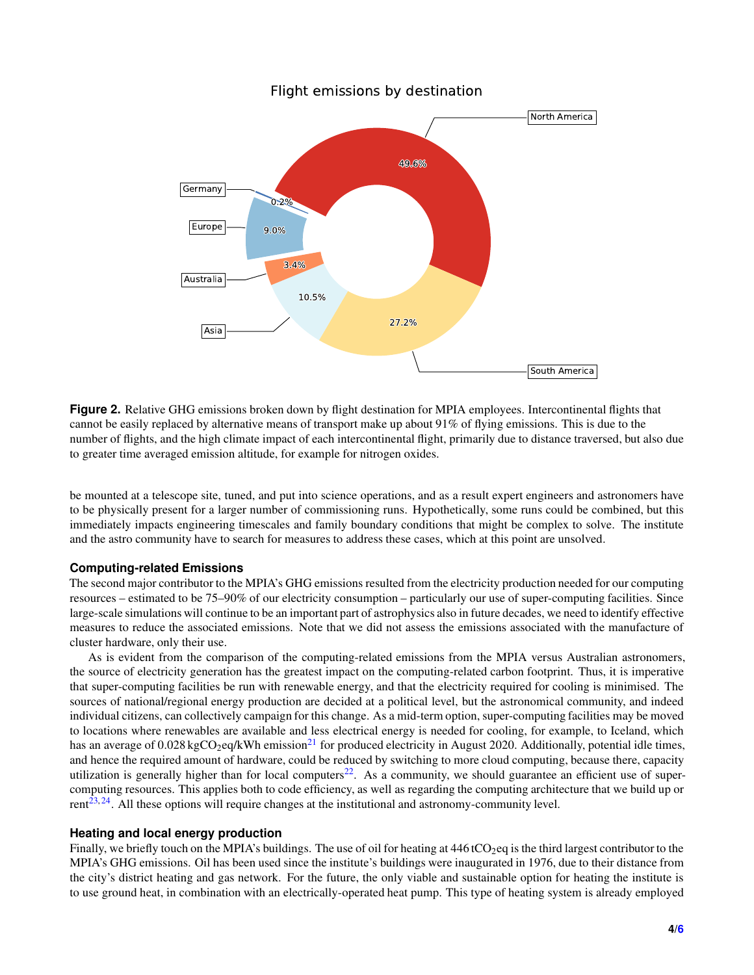<span id="page-3-0"></span>

Flight emissions by destination

**Figure 2.** Relative GHG emissions broken down by flight destination for MPIA employees. Intercontinental flights that cannot be easily replaced by alternative means of transport make up about 91% of flying emissions. This is due to the number of flights, and the high climate impact of each intercontinental flight, primarily due to distance traversed, but also due to greater time averaged emission altitude, for example for nitrogen oxides.

be mounted at a telescope site, tuned, and put into science operations, and as a result expert engineers and astronomers have to be physically present for a larger number of commissioning runs. Hypothetically, some runs could be combined, but this immediately impacts engineering timescales and family boundary conditions that might be complex to solve. The institute and the astro community have to search for measures to address these cases, which at this point are unsolved.

#### **Computing-related Emissions**

The second major contributor to the MPIA's GHG emissions resulted from the electricity production needed for our computing resources – estimated to be 75–90% of our electricity consumption – particularly our use of super-computing facilities. Since large-scale simulations will continue to be an important part of astrophysics also in future decades, we need to identify effective measures to reduce the associated emissions. Note that we did not assess the emissions associated with the manufacture of cluster hardware, only their use.

As is evident from the comparison of the computing-related emissions from the MPIA versus Australian astronomers, the source of electricity generation has the greatest impact on the computing-related carbon footprint. Thus, it is imperative that super-computing facilities be run with renewable energy, and that the electricity required for cooling is minimised. The sources of national/regional energy production are decided at a political level, but the astronomical community, and indeed individual citizens, can collectively campaign for this change. As a mid-term option, super-computing facilities may be moved to locations where renewables are available and less electrical energy is needed for cooling, for example, to Iceland, which has an average of  $0.028$  kgCO<sub>2</sub>eq/kWh emission<sup>[21](#page-5-12)</sup> for produced electricity in August 2020. Additionally, potential idle times, and hence the required amount of hardware, could be reduced by switching to more cloud computing, because there, capacity utilization is generally higher than for local computers<sup>[22](#page-5-13)</sup>. As a community, we should guarantee an efficient use of supercomputing resources. This applies both to code efficiency, as well as regarding the computing architecture that we build up or  $rent^{23,24}$  $rent^{23,24}$  $rent^{23,24}$  $rent^{23,24}$ . All these options will require changes at the institutional and astronomy-community level.

#### **Heating and local energy production**

Finally, we briefly touch on the MPIA's buildings. The use of oil for heating at  $446$  tCO<sub>2</sub>eq is the third largest contributor to the MPIA's GHG emissions. Oil has been used since the institute's buildings were inaugurated in 1976, due to their distance from the city's district heating and gas network. For the future, the only viable and sustainable option for heating the institute is to use ground heat, in combination with an electrically-operated heat pump. This type of heating system is already employed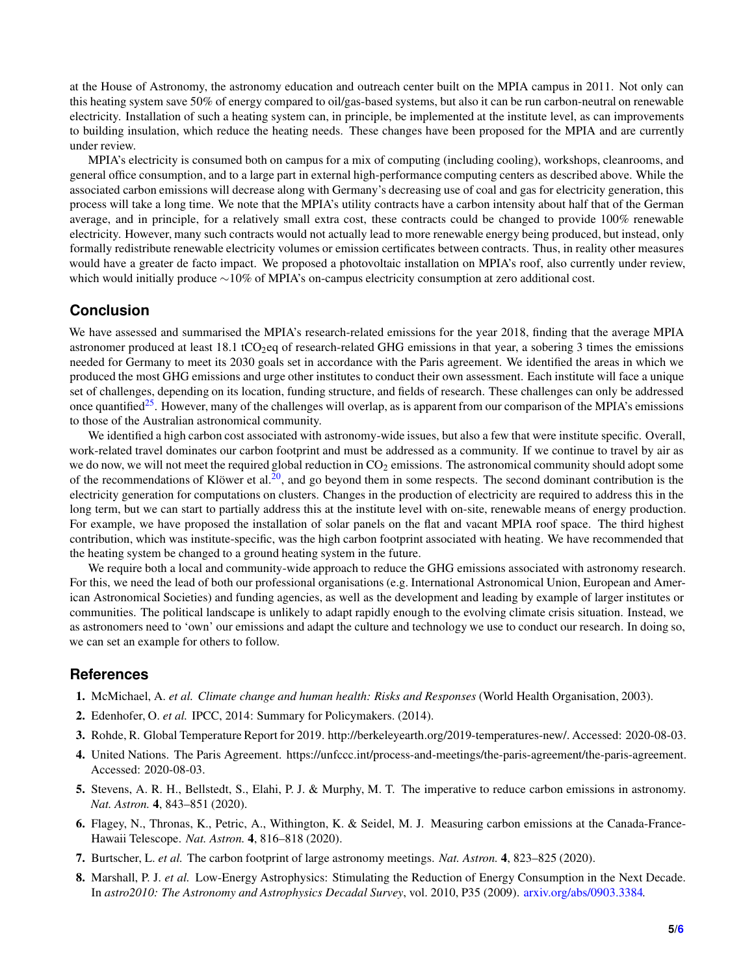at the House of Astronomy, the astronomy education and outreach center built on the MPIA campus in 2011. Not only can this heating system save 50% of energy compared to oil/gas-based systems, but also it can be run carbon-neutral on renewable electricity. Installation of such a heating system can, in principle, be implemented at the institute level, as can improvements to building insulation, which reduce the heating needs. These changes have been proposed for the MPIA and are currently under review.

MPIA's electricity is consumed both on campus for a mix of computing (including cooling), workshops, cleanrooms, and general office consumption, and to a large part in external high-performance computing centers as described above. While the associated carbon emissions will decrease along with Germany's decreasing use of coal and gas for electricity generation, this process will take a long time. We note that the MPIA's utility contracts have a carbon intensity about half that of the German average, and in principle, for a relatively small extra cost, these contracts could be changed to provide 100% renewable electricity. However, many such contracts would not actually lead to more renewable energy being produced, but instead, only formally redistribute renewable electricity volumes or emission certificates between contracts. Thus, in reality other measures would have a greater de facto impact. We proposed a photovoltaic installation on MPIA's roof, also currently under review, which would initially produce ∼10% of MPIA's on-campus electricity consumption at zero additional cost.

### **Conclusion**

We have assessed and summarised the MPIA's research-related emissions for the year 2018, finding that the average MPIA astronomer produced at least 18.1 tCO<sub>2</sub>eq of research-related GHG emissions in that year, a sobering 3 times the emissions needed for Germany to meet its 2030 goals set in accordance with the Paris agreement. We identified the areas in which we produced the most GHG emissions and urge other institutes to conduct their own assessment. Each institute will face a unique set of challenges, depending on its location, funding structure, and fields of research. These challenges can only be addressed once quantified<sup>[25](#page-5-16)</sup>. However, many of the challenges will overlap, as is apparent from our comparison of the MPIA's emissions to those of the Australian astronomical community.

We identified a high carbon cost associated with astronomy-wide issues, but also a few that were institute specific. Overall, work-related travel dominates our carbon footprint and must be addressed as a community. If we continue to travel by air as we do now, we will not meet the required global reduction in  $CO<sub>2</sub>$  emissions. The astronomical community should adopt some of the recommendations of Klöwer et al.<sup>[20](#page-5-11)</sup>, and go beyond them in some respects. The second dominant contribution is the electricity generation for computations on clusters. Changes in the production of electricity are required to address this in the long term, but we can start to partially address this at the institute level with on-site, renewable means of energy production. For example, we have proposed the installation of solar panels on the flat and vacant MPIA roof space. The third highest contribution, which was institute-specific, was the high carbon footprint associated with heating. We have recommended that the heating system be changed to a ground heating system in the future.

We require both a local and community-wide approach to reduce the GHG emissions associated with astronomy research. For this, we need the lead of both our professional organisations (e.g. International Astronomical Union, European and American Astronomical Societies) and funding agencies, as well as the development and leading by example of larger institutes or communities. The political landscape is unlikely to adapt rapidly enough to the evolving climate crisis situation. Instead, we as astronomers need to 'own' our emissions and adapt the culture and technology we use to conduct our research. In doing so, we can set an example for others to follow.

#### <span id="page-4-0"></span>**References**

- <span id="page-4-1"></span>1. McMichael, A. *et al. Climate change and human health: Risks and Responses* (World Health Organisation, 2003).
- <span id="page-4-2"></span>2. Edenhofer, O. *et al.* IPCC, 2014: Summary for Policymakers. (2014).
- <span id="page-4-3"></span>3. Rohde, R. Global Temperature Report for 2019. http://berkeleyearth.org/2019-temperatures-new/. Accessed: 2020-08-03.
- <span id="page-4-4"></span>4. United Nations. The Paris Agreement. https://unfccc.int/process-and-meetings/the-paris-agreement/the-paris-agreement. Accessed: 2020-08-03.
- <span id="page-4-5"></span>5. Stevens, A. R. H., Bellstedt, S., Elahi, P. J. & Murphy, M. T. The imperative to reduce carbon emissions in astronomy. *Nat. Astron.* 4, 843–851 (2020).
- <span id="page-4-6"></span>6. Flagey, N., Thronas, K., Petric, A., Withington, K. & Seidel, M. J. Measuring carbon emissions at the Canada-France-Hawaii Telescope. *Nat. Astron.* 4, 816–818 (2020).
- <span id="page-4-7"></span>7. Burtscher, L. *et al.* The carbon footprint of large astronomy meetings. *Nat. Astron.* 4, 823–825 (2020).
- 8. Marshall, P. J. *et al.* Low-Energy Astrophysics: Stimulating the Reduction of Energy Consumption in the Next Decade. In *astro2010: The Astronomy and Astrophysics Decadal Survey*, vol. 2010, P35 (2009). [arxiv.org/abs/0903.3384.](arxiv.org/abs/0903.3384)